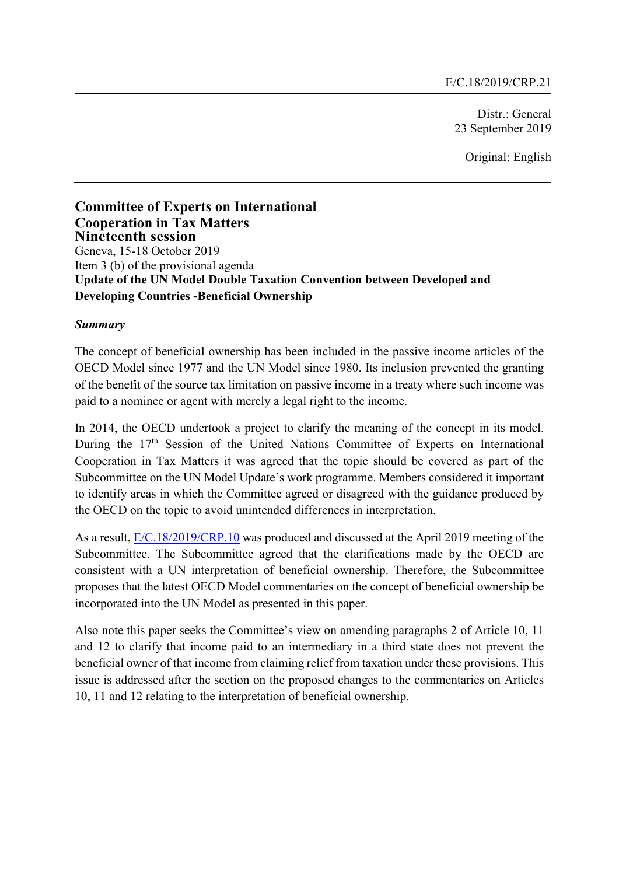Distr.: General 23 September 2019

Original: English

## **Committee of Experts on International Cooperation in Tax Matters Nineteenth session** Geneva, 15-18 October 2019 Item 3 (b) of the provisional agenda **Update of the UN Model Double Taxation Convention between Developed and Developing Countries -Beneficial Ownership**

#### *Summary*

The concept of beneficial ownership has been included in the passive income articles of the OECD Model since 1977 and the UN Model since 1980. Its inclusion prevented the granting of the benefit of the source tax limitation on passive income in a treaty where such income was paid to a nominee or agent with merely a legal right to the income.

In 2014, the OECD undertook a project to clarify the meaning of the concept in its model. During the  $17<sup>th</sup>$  Session of the United Nations Committee of Experts on International Cooperation in Tax Matters it was agreed that the topic should be covered as part of the Subcommittee on the UN Model Update's work programme. Members considered it important to identify areas in which the Committee agreed or disagreed with the guidance produced by the OECD on the topic to avoid unintended differences in interpretation.

As a result,  $E/C.18/2019/CRP.10$  was produced and discussed at the April 2019 meeting of the Subcommittee. The Subcommittee agreed that the clarifications made by the OECD are consistent with a UN interpretation of beneficial ownership. Therefore, the Subcommittee proposes that the latest OECD Model commentaries on the concept of beneficial ownership be incorporated into the UN Model as presented in this paper.

Also note this paper seeks the Committee's view on amending paragraphs 2 of Article 10, 11 and 12 to clarify that income paid to an intermediary in a third state does not prevent the beneficial owner of that income from claiming relief from taxation under these provisions. This issue is addressed after the section on the proposed changes to the commentaries on Articles 10, 11 and 12 relating to the interpretation of beneficial ownership.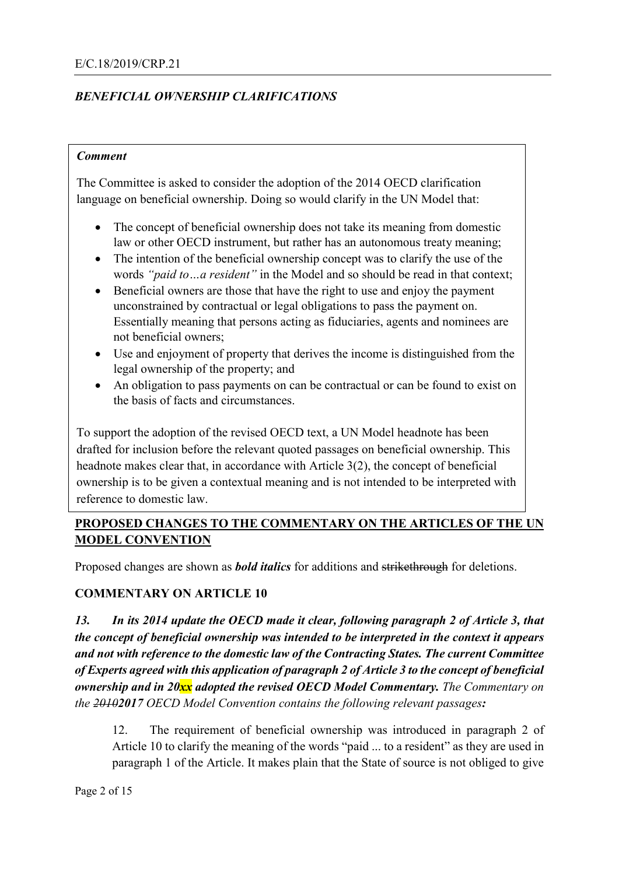## *BENEFICIAL OWNERSHIP CLARIFICATIONS*

### *Comment*

The Committee is asked to consider the adoption of the 2014 OECD clarification language on beneficial ownership. Doing so would clarify in the UN Model that:

- The concept of beneficial ownership does not take its meaning from domestic law or other OECD instrument, but rather has an autonomous treaty meaning;
- The intention of the beneficial ownership concept was to clarify the use of the words *"paid to…a resident"* in the Model and so should be read in that context;
- Beneficial owners are those that have the right to use and enjoy the payment unconstrained by contractual or legal obligations to pass the payment on. Essentially meaning that persons acting as fiduciaries, agents and nominees are not beneficial owners;
- Use and enjoyment of property that derives the income is distinguished from the legal ownership of the property; and
- An obligation to pass payments on can be contractual or can be found to exist on the basis of facts and circumstances.

To support the adoption of the revised OECD text, a UN Model headnote has been drafted for inclusion before the relevant quoted passages on beneficial ownership. This headnote makes clear that, in accordance with Article 3(2), the concept of beneficial ownership is to be given a contextual meaning and is not intended to be interpreted with reference to domestic law.

# **PROPOSED CHANGES TO THE COMMENTARY ON THE ARTICLES OF THE UN MODEL CONVENTION**

Proposed changes are shown as *bold italics* for additions and strikethrough for deletions.

## **COMMENTARY ON ARTICLE 10**

*13. In its 2014 update the OECD made it clear, following paragraph 2 of Article 3, that the concept of beneficial ownership was intended to be interpreted in the context it appears and not with reference to the domestic law of the Contracting States. The current Committee of Experts agreed with this application of paragraph 2 of Article 3 to the concept of beneficial ownership and in 20xx adopted the revised OECD Model Commentary. The Commentary on the 20102017 OECD Model Convention contains the following relevant passages:*

12. The requirement of beneficial ownership was introduced in paragraph 2 of Article 10 to clarify the meaning of the words "paid ... to a resident" as they are used in paragraph 1 of the Article. It makes plain that the State of source is not obliged to give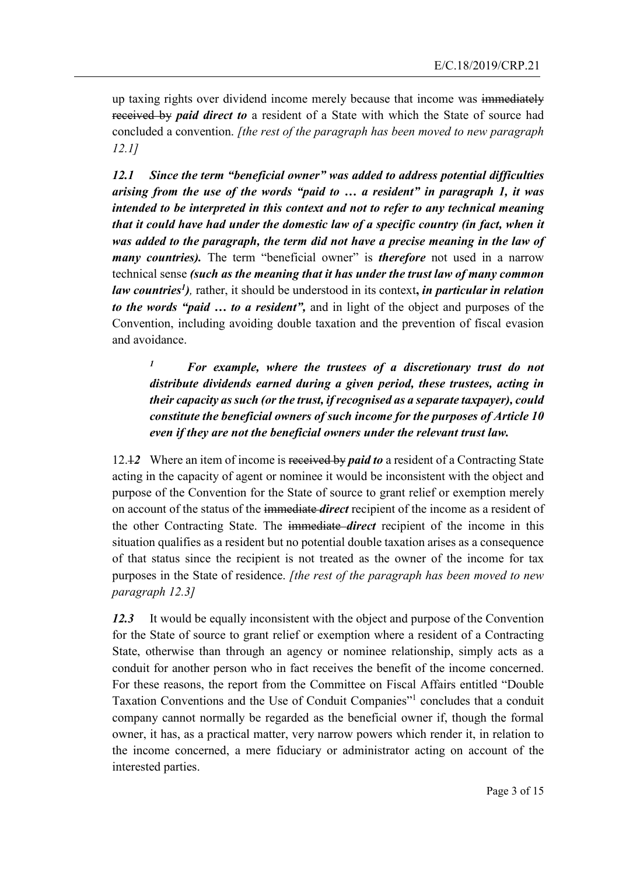up taxing rights over dividend income merely because that income was immediately received by *paid direct to* a resident of a State with which the State of source had concluded a convention. *[the rest of the paragraph has been moved to new paragraph 12.1]* 

*12.1 Since the term "beneficial owner" was added to address potential difficulties arising from the use of the words "paid to … a resident" in paragraph 1, it was intended to be interpreted in this context and not to refer to any technical meaning that it could have had under the domestic law of a specific country (in fact, when it was added to the paragraph, the term did not have a precise meaning in the law of many countries).* The term "beneficial owner" is *therefore* not used in a narrow technical sense *(such as the meaning that it has under the trust law of many common law countries1),* rather, it should be understood in its context**,** *in particular in relation to the words "paid … to a resident",* and in light of the object and purposes of the Convention, including avoiding double taxation and the prevention of fiscal evasion and avoidance.

*1 For example, where the trustees of a discretionary trust do not distribute dividends earned during a given period, these trustees, acting in their capacity as such (or the trust, if recognised as a separate taxpayer), could constitute the beneficial owners of such income for the purposes of Article 10 even if they are not the beneficial owners under the relevant trust law.*

12.1*2* Where an item of income is received by *paid to* a resident of a Contracting State acting in the capacity of agent or nominee it would be inconsistent with the object and purpose of the Convention for the State of source to grant relief or exemption merely on account of the status of the immediate *direct* recipient of the income as a resident of the other Contracting State. The immediate *direct* recipient of the income in this situation qualifies as a resident but no potential double taxation arises as a consequence of that status since the recipient is not treated as the owner of the income for tax purposes in the State of residence. *[the rest of the paragraph has been moved to new paragraph 12.3]*

*12.3* It would be equally inconsistent with the object and purpose of the Convention for the State of source to grant relief or exemption where a resident of a Contracting State, otherwise than through an agency or nominee relationship, simply acts as a conduit for another person who in fact receives the benefit of the income concerned. For these reasons, the report from the Committee on Fiscal Affairs entitled "Double Taxation Conventions and the Use of Conduit Companies"1 concludes that a conduit company cannot normally be regarded as the beneficial owner if, though the formal owner, it has, as a practical matter, very narrow powers which render it, in relation to the income concerned, a mere fiduciary or administrator acting on account of the interested parties.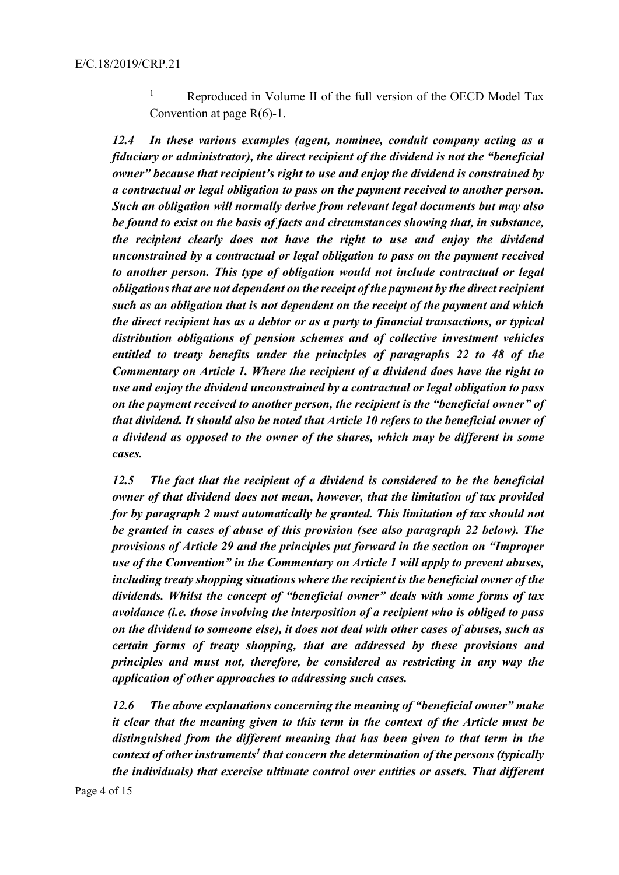<sup>1</sup> Reproduced in Volume II of the full version of the OECD Model Tax Convention at page R(6)-1.

*12.4 In these various examples (agent, nominee, conduit company acting as a fiduciary or administrator), the direct recipient of the dividend is not the "beneficial owner" because that recipient's right to use and enjoy the dividend is constrained by a contractual or legal obligation to pass on the payment received to another person. Such an obligation will normally derive from relevant legal documents but may also be found to exist on the basis of facts and circumstances showing that, in substance, the recipient clearly does not have the right to use and enjoy the dividend unconstrained by a contractual or legal obligation to pass on the payment received to another person. This type of obligation would not include contractual or legal obligations that are not dependent on the receipt of the payment by the direct recipient such as an obligation that is not dependent on the receipt of the payment and which the direct recipient has as a debtor or as a party to financial transactions, or typical distribution obligations of pension schemes and of collective investment vehicles entitled to treaty benefits under the principles of paragraphs 22 to 48 of the Commentary on Article 1. Where the recipient of a dividend does have the right to use and enjoy the dividend unconstrained by a contractual or legal obligation to pass on the payment received to another person, the recipient is the "beneficial owner" of that dividend. It should also be noted that Article 10 refers to the beneficial owner of a dividend as opposed to the owner of the shares, which may be different in some cases.* 

*12.5 The fact that the recipient of a dividend is considered to be the beneficial owner of that dividend does not mean, however, that the limitation of tax provided for by paragraph 2 must automatically be granted. This limitation of tax should not be granted in cases of abuse of this provision (see also paragraph 22 below). The provisions of Article 29 and the principles put forward in the section on "Improper use of the Convention" in the Commentary on Article 1 will apply to prevent abuses, including treaty shopping situations where the recipient is the beneficial owner of the dividends. Whilst the concept of "beneficial owner" deals with some forms of tax avoidance (i.e. those involving the interposition of a recipient who is obliged to pass on the dividend to someone else), it does not deal with other cases of abuses, such as certain forms of treaty shopping, that are addressed by these provisions and principles and must not, therefore, be considered as restricting in any way the application of other approaches to addressing such cases.* 

*12.6 The above explanations concerning the meaning of "beneficial owner" make it clear that the meaning given to this term in the context of the Article must be distinguished from the different meaning that has been given to that term in the context of other instruments<sup>1</sup> that concern the determination of the persons (typically the individuals) that exercise ultimate control over entities or assets. That different*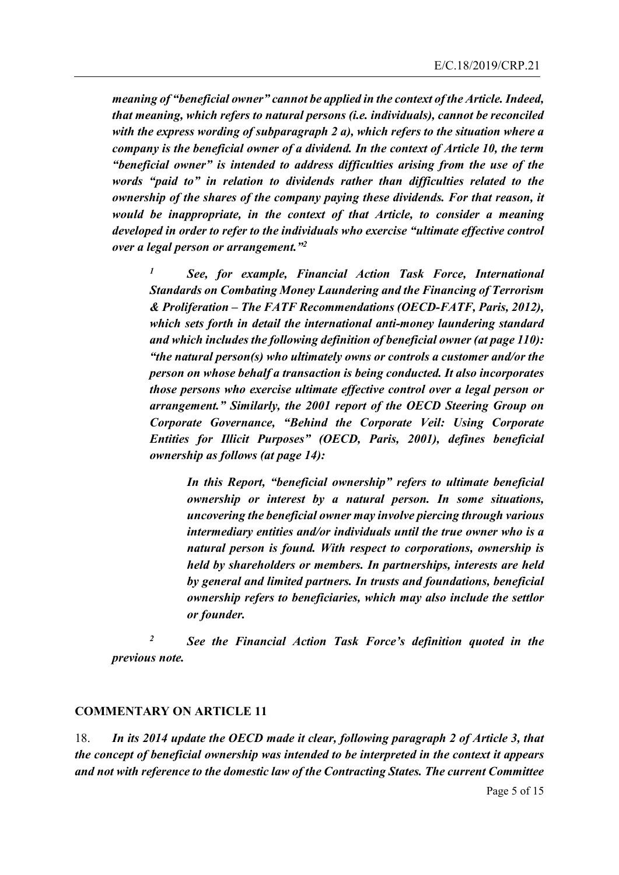*meaning of "beneficial owner" cannot be applied in the context of the Article. Indeed, that meaning, which refers to natural persons (i.e. individuals), cannot be reconciled with the express wording of subparagraph 2 a), which refers to the situation where a company is the beneficial owner of a dividend. In the context of Article 10, the term "beneficial owner" is intended to address difficulties arising from the use of the words "paid to" in relation to dividends rather than difficulties related to the ownership of the shares of the company paying these dividends. For that reason, it would be inappropriate, in the context of that Article, to consider a meaning developed in order to refer to the individuals who exercise "ultimate effective control over a legal person or arrangement."2*

*1 See, for example, Financial Action Task Force, International Standards on Combating Money Laundering and the Financing of Terrorism & Proliferation – The FATF Recommendations (OECD-FATF, Paris, 2012), which sets forth in detail the international anti-money laundering standard and which includes the following definition of beneficial owner (at page 110): "the natural person(s) who ultimately owns or controls a customer and/or the person on whose behalf a transaction is being conducted. It also incorporates those persons who exercise ultimate effective control over a legal person or arrangement." Similarly, the 2001 report of the OECD Steering Group on Corporate Governance, "Behind the Corporate Veil: Using Corporate Entities for Illicit Purposes" (OECD, Paris, 2001), defines beneficial ownership as follows (at page 14):* 

*In this Report, "beneficial ownership" refers to ultimate beneficial ownership or interest by a natural person. In some situations, uncovering the beneficial owner may involve piercing through various intermediary entities and/or individuals until the true owner who is a natural person is found. With respect to corporations, ownership is held by shareholders or members. In partnerships, interests are held by general and limited partners. In trusts and foundations, beneficial ownership refers to beneficiaries, which may also include the settlor or founder.* 

*<sup>2</sup> See the Financial Action Task Force's definition quoted in the previous note.* 

## **COMMENTARY ON ARTICLE 11**

18. *In its 2014 update the OECD made it clear, following paragraph 2 of Article 3, that the concept of beneficial ownership was intended to be interpreted in the context it appears and not with reference to the domestic law of the Contracting States. The current Committee*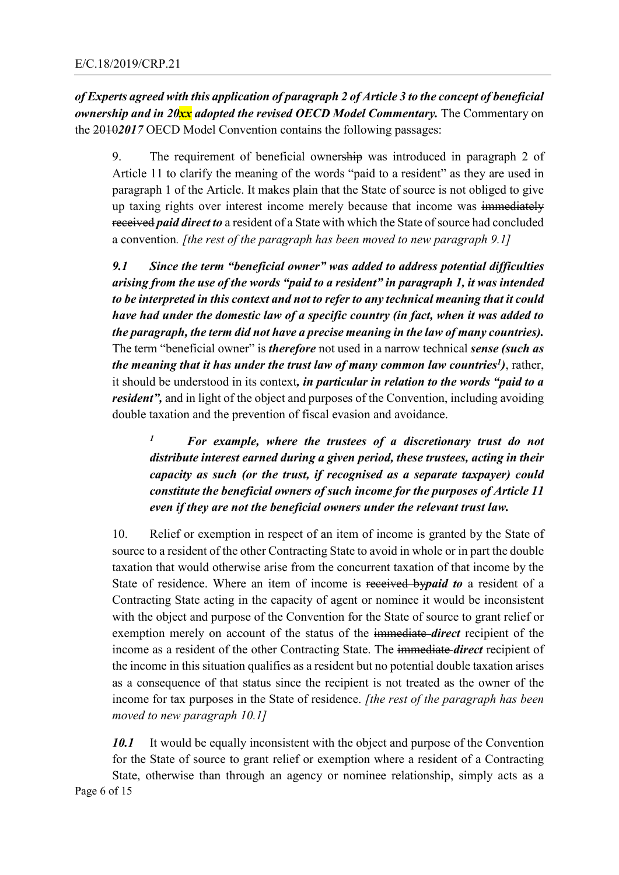*of Experts agreed with this application of paragraph 2 of Article 3 to the concept of beneficial ownership and in 20xx adopted the revised OECD Model Commentary.* The Commentary on the 2010*2017* OECD Model Convention contains the following passages:

9. The requirement of beneficial ownership was introduced in paragraph 2 of Article 11 to clarify the meaning of the words "paid to a resident" as they are used in paragraph 1 of the Article. It makes plain that the State of source is not obliged to give up taxing rights over interest income merely because that income was immediately received *paid direct to* a resident of a State with which the State of source had concluded a convention*. [the rest of the paragraph has been moved to new paragraph 9.1]*

*9.1 Since the term "beneficial owner" was added to address potential difficulties arising from the use of the words "paid to a resident" in paragraph 1, it was intended to be interpreted in this context and not to refer to any technical meaning that it could have had under the domestic law of a specific country (in fact, when it was added to the paragraph, the term did not have a precise meaning in the law of many countries).* The term "beneficial owner" is *therefore* not used in a narrow technical *sense (such as the meaning that it has under the trust law of many common law countries<sup>1</sup>), rather,* it should be understood in its context*, in particular in relation to the words "paid to a resident",* and in light of the object and purposes of the Convention, including avoiding double taxation and the prevention of fiscal evasion and avoidance.

*<sup>1</sup> For example, where the trustees of a discretionary trust do not distribute interest earned during a given period, these trustees, acting in their capacity as such (or the trust, if recognised as a separate taxpayer) could constitute the beneficial owners of such income for the purposes of Article 11 even if they are not the beneficial owners under the relevant trust law.*

10. Relief or exemption in respect of an item of income is granted by the State of source to a resident of the other Contracting State to avoid in whole or in part the double taxation that would otherwise arise from the concurrent taxation of that income by the State of residence. Where an item of income is received by*paid to* a resident of a Contracting State acting in the capacity of agent or nominee it would be inconsistent with the object and purpose of the Convention for the State of source to grant relief or exemption merely on account of the status of the immediate *direct* recipient of the income as a resident of the other Contracting State. The immediate *direct* recipient of the income in this situation qualifies as a resident but no potential double taxation arises as a consequence of that status since the recipient is not treated as the owner of the income for tax purposes in the State of residence. *[the rest of the paragraph has been moved to new paragraph 10.1]* 

*10.1* It would be equally inconsistent with the object and purpose of the Convention for the State of source to grant relief or exemption where a resident of a Contracting State, otherwise than through an agency or nominee relationship, simply acts as a

Page 6 of 15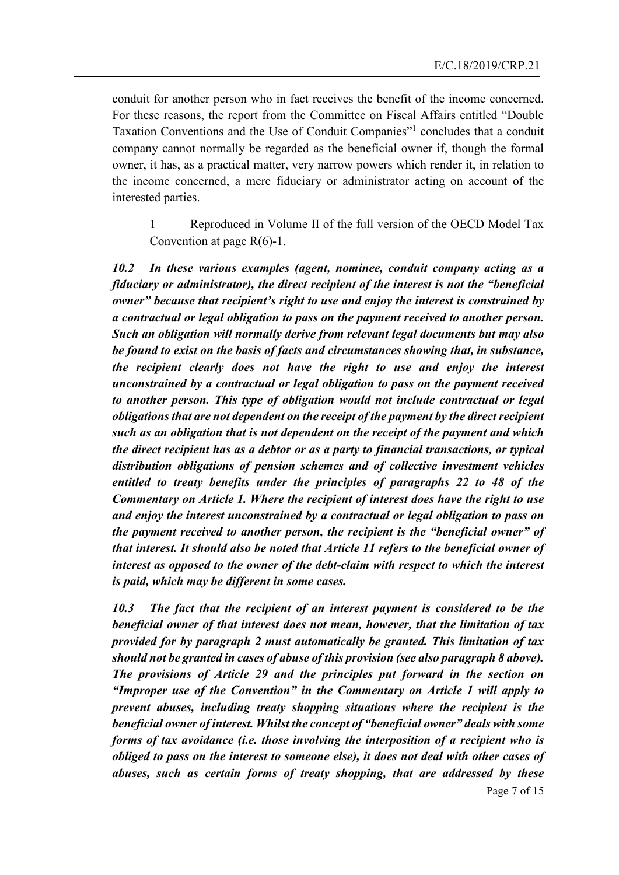conduit for another person who in fact receives the benefit of the income concerned. For these reasons, the report from the Committee on Fiscal Affairs entitled "Double Taxation Conventions and the Use of Conduit Companies<sup>"1</sup> concludes that a conduit company cannot normally be regarded as the beneficial owner if, though the formal owner, it has, as a practical matter, very narrow powers which render it, in relation to the income concerned, a mere fiduciary or administrator acting on account of the interested parties.

1 Reproduced in Volume II of the full version of the OECD Model Tax Convention at page R(6)-1.

*10.2 In these various examples (agent, nominee, conduit company acting as a fiduciary or administrator), the direct recipient of the interest is not the "beneficial owner" because that recipient's right to use and enjoy the interest is constrained by a contractual or legal obligation to pass on the payment received to another person. Such an obligation will normally derive from relevant legal documents but may also be found to exist on the basis of facts and circumstances showing that, in substance, the recipient clearly does not have the right to use and enjoy the interest unconstrained by a contractual or legal obligation to pass on the payment received to another person. This type of obligation would not include contractual or legal obligations that are not dependent on the receipt of the payment by the direct recipient such as an obligation that is not dependent on the receipt of the payment and which the direct recipient has as a debtor or as a party to financial transactions, or typical distribution obligations of pension schemes and of collective investment vehicles entitled to treaty benefits under the principles of paragraphs 22 to 48 of the Commentary on Article 1. Where the recipient of interest does have the right to use and enjoy the interest unconstrained by a contractual or legal obligation to pass on the payment received to another person, the recipient is the "beneficial owner" of that interest. It should also be noted that Article 11 refers to the beneficial owner of interest as opposed to the owner of the debt-claim with respect to which the interest is paid, which may be different in some cases.*

Page 7 of 15 *10.3 The fact that the recipient of an interest payment is considered to be the beneficial owner of that interest does not mean, however, that the limitation of tax provided for by paragraph 2 must automatically be granted. This limitation of tax should not be granted in cases of abuse of this provision (see also paragraph 8 above). The provisions of Article 29 and the principles put forward in the section on "Improper use of the Convention" in the Commentary on Article 1 will apply to prevent abuses, including treaty shopping situations where the recipient is the beneficial owner of interest. Whilst the concept of "beneficial owner" deals with some forms of tax avoidance (i.e. those involving the interposition of a recipient who is obliged to pass on the interest to someone else), it does not deal with other cases of abuses, such as certain forms of treaty shopping, that are addressed by these*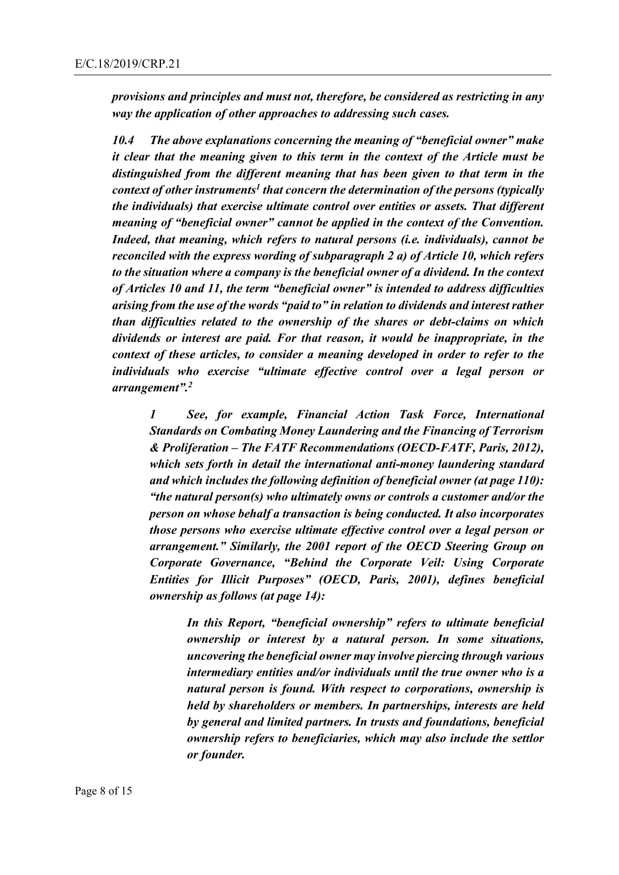*provisions and principles and must not, therefore, be considered as restricting in any way the application of other approaches to addressing such cases.* 

*10.4 The above explanations concerning the meaning of "beneficial owner" make it clear that the meaning given to this term in the context of the Article must be distinguished from the different meaning that has been given to that term in the context of other instruments<sup>1</sup> that concern the determination of the persons (typically the individuals) that exercise ultimate control over entities or assets. That different meaning of "beneficial owner" cannot be applied in the context of the Convention. Indeed, that meaning, which refers to natural persons (i.e. individuals), cannot be reconciled with the express wording of subparagraph 2 a) of Article 10, which refers to the situation where a company is the beneficial owner of a dividend. In the context of Articles 10 and 11, the term "beneficial owner" is intended to address difficulties arising from the use of the words "paid to" in relation to dividends and interest rather than difficulties related to the ownership of the shares or debt-claims on which dividends or interest are paid. For that reason, it would be inappropriate, in the context of these articles, to consider a meaning developed in order to refer to the individuals who exercise "ultimate effective control over a legal person or arrangement".2*

*1 See, for example, Financial Action Task Force, International Standards on Combating Money Laundering and the Financing of Terrorism & Proliferation – The FATF Recommendations (OECD-FATF, Paris, 2012), which sets forth in detail the international anti-money laundering standard and which includes the following definition of beneficial owner (at page 110): "the natural person(s) who ultimately owns or controls a customer and/or the person on whose behalf a transaction is being conducted. It also incorporates those persons who exercise ultimate effective control over a legal person or arrangement." Similarly, the 2001 report of the OECD Steering Group on Corporate Governance, "Behind the Corporate Veil: Using Corporate Entities for Illicit Purposes" (OECD, Paris, 2001), defines beneficial ownership as follows (at page 14):*

*In this Report, "beneficial ownership" refers to ultimate beneficial ownership or interest by a natural person. In some situations, uncovering the beneficial owner may involve piercing through various intermediary entities and/or individuals until the true owner who is a natural person is found. With respect to corporations, ownership is held by shareholders or members. In partnerships, interests are held by general and limited partners. In trusts and foundations, beneficial ownership refers to beneficiaries, which may also include the settlor or founder.*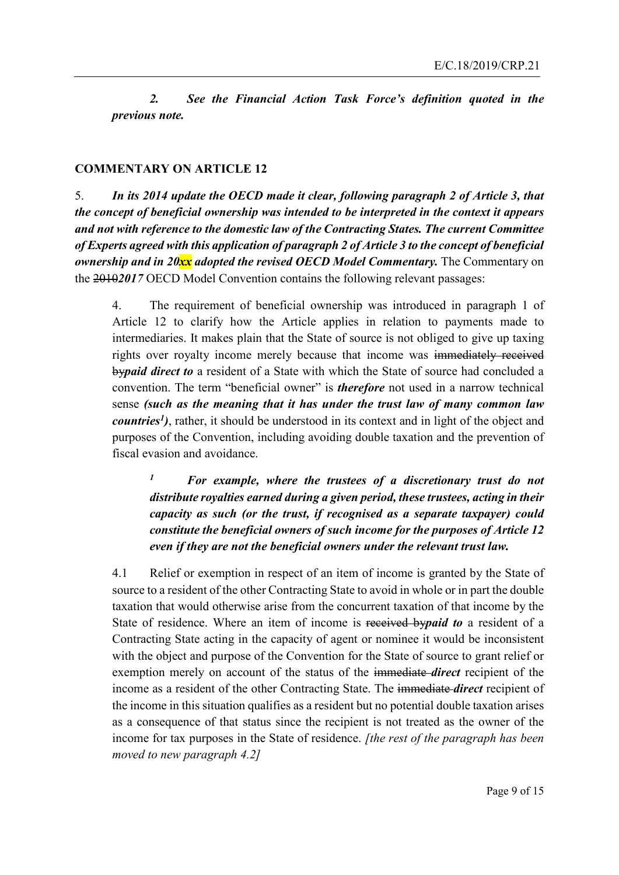*2. See the Financial Action Task Force's definition quoted in the previous note.*

## **COMMENTARY ON ARTICLE 12**

5. *In its 2014 update the OECD made it clear, following paragraph 2 of Article 3, that the concept of beneficial ownership was intended to be interpreted in the context it appears and not with reference to the domestic law of the Contracting States. The current Committee of Experts agreed with this application of paragraph 2 of Article 3 to the concept of beneficial ownership and in 20xx adopted the revised OECD Model Commentary.* The Commentary on the 2010*2017* OECD Model Convention contains the following relevant passages:

4. The requirement of beneficial ownership was introduced in paragraph 1 of Article 12 to clarify how the Article applies in relation to payments made to intermediaries. It makes plain that the State of source is not obliged to give up taxing rights over royalty income merely because that income was immediately received by*paid direct to* a resident of a State with which the State of source had concluded a convention. The term "beneficial owner" is *therefore* not used in a narrow technical sense *(such as the meaning that it has under the trust law of many common law countries1)*, rather, it should be understood in its context and in light of the object and purposes of the Convention, including avoiding double taxation and the prevention of fiscal evasion and avoidance.

*<sup>1</sup> For example, where the trustees of a discretionary trust do not distribute royalties earned during a given period, these trustees, acting in their capacity as such (or the trust, if recognised as a separate taxpayer) could constitute the beneficial owners of such income for the purposes of Article 12 even if they are not the beneficial owners under the relevant trust law.*

4.1 Relief or exemption in respect of an item of income is granted by the State of source to a resident of the other Contracting State to avoid in whole or in part the double taxation that would otherwise arise from the concurrent taxation of that income by the State of residence. Where an item of income is received by*paid to* a resident of a Contracting State acting in the capacity of agent or nominee it would be inconsistent with the object and purpose of the Convention for the State of source to grant relief or exemption merely on account of the status of the immediate *direct* recipient of the income as a resident of the other Contracting State. The immediate *direct* recipient of the income in this situation qualifies as a resident but no potential double taxation arises as a consequence of that status since the recipient is not treated as the owner of the income for tax purposes in the State of residence. *[the rest of the paragraph has been moved to new paragraph 4.2]*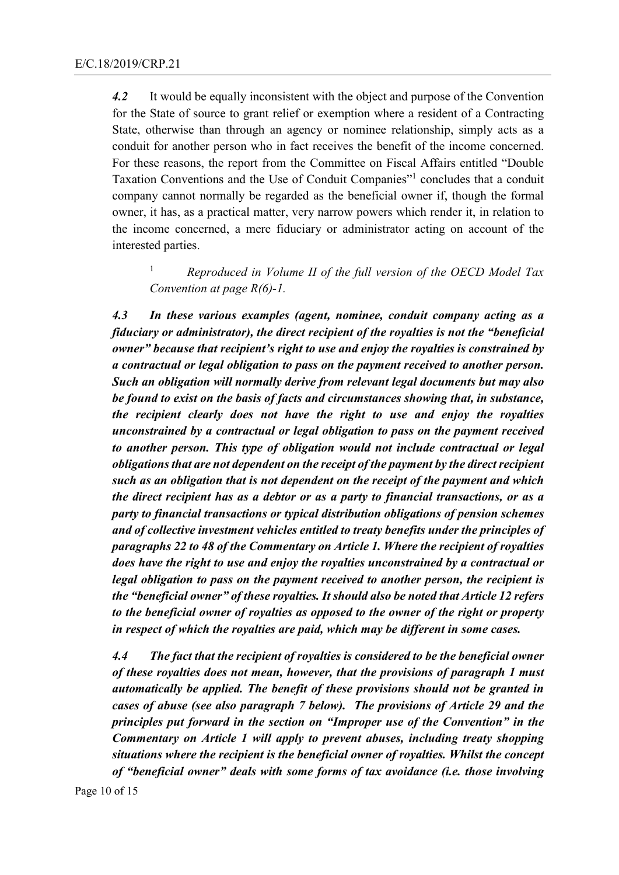*4.2* It would be equally inconsistent with the object and purpose of the Convention for the State of source to grant relief or exemption where a resident of a Contracting State, otherwise than through an agency or nominee relationship, simply acts as a conduit for another person who in fact receives the benefit of the income concerned. For these reasons, the report from the Committee on Fiscal Affairs entitled "Double Taxation Conventions and the Use of Conduit Companies"1 concludes that a conduit company cannot normally be regarded as the beneficial owner if, though the formal owner, it has, as a practical matter, very narrow powers which render it, in relation to the income concerned, a mere fiduciary or administrator acting on account of the interested parties.

<sup>1</sup> *Reproduced in Volume II of the full version of the OECD Model Tax Convention at page R(6)-1.*

*4.3 In these various examples (agent, nominee, conduit company acting as a fiduciary or administrator), the direct recipient of the royalties is not the "beneficial owner" because that recipient's right to use and enjoy the royalties is constrained by a contractual or legal obligation to pass on the payment received to another person. Such an obligation will normally derive from relevant legal documents but may also be found to exist on the basis of facts and circumstances showing that, in substance, the recipient clearly does not have the right to use and enjoy the royalties unconstrained by a contractual or legal obligation to pass on the payment received to another person. This type of obligation would not include contractual or legal obligations that are not dependent on the receipt of the payment by the direct recipient such as an obligation that is not dependent on the receipt of the payment and which the direct recipient has as a debtor or as a party to financial transactions, or as a party to financial transactions or typical distribution obligations of pension schemes and of collective investment vehicles entitled to treaty benefits under the principles of paragraphs 22 to 48 of the Commentary on Article 1. Where the recipient of royalties does have the right to use and enjoy the royalties unconstrained by a contractual or legal obligation to pass on the payment received to another person, the recipient is the "beneficial owner" of these royalties. It should also be noted that Article 12 refers to the beneficial owner of royalties as opposed to the owner of the right or property in respect of which the royalties are paid, which may be different in some cases.* 

*4.4 The fact that the recipient of royalties is considered to be the beneficial owner of these royalties does not mean, however, that the provisions of paragraph 1 must automatically be applied. The benefit of these provisions should not be granted in cases of abuse (see also paragraph 7 below). The provisions of Article 29 and the principles put forward in the section on "Improper use of the Convention" in the Commentary on Article 1 will apply to prevent abuses, including treaty shopping situations where the recipient is the beneficial owner of royalties. Whilst the concept of "beneficial owner" deals with some forms of tax avoidance (i.e. those involving* 

Page 10 of 15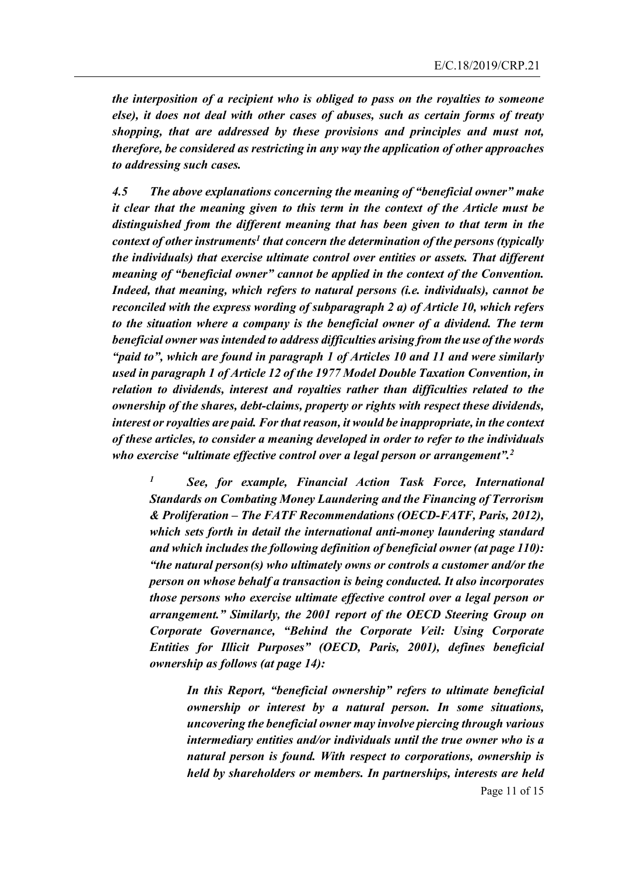*the interposition of a recipient who is obliged to pass on the royalties to someone else), it does not deal with other cases of abuses, such as certain forms of treaty shopping, that are addressed by these provisions and principles and must not, therefore, be considered as restricting in any way the application of other approaches to addressing such cases.* 

*4.5 The above explanations concerning the meaning of "beneficial owner" make it clear that the meaning given to this term in the context of the Article must be distinguished from the different meaning that has been given to that term in the context of other instruments1 that concern the determination of the persons (typically the individuals) that exercise ultimate control over entities or assets. That different meaning of "beneficial owner" cannot be applied in the context of the Convention. Indeed, that meaning, which refers to natural persons (i.e. individuals), cannot be reconciled with the express wording of subparagraph 2 a) of Article 10, which refers to the situation where a company is the beneficial owner of a dividend. The term beneficial owner was intended to address difficulties arising from the use of the words "paid to", which are found in paragraph 1 of Articles 10 and 11 and were similarly used in paragraph 1 of Article 12 of the 1977 Model Double Taxation Convention, in relation to dividends, interest and royalties rather than difficulties related to the ownership of the shares, debt-claims, property or rights with respect these dividends, interest or royalties are paid. For that reason, it would be inappropriate, in the context of these articles, to consider a meaning developed in order to refer to the individuals who exercise "ultimate effective control over a legal person or arrangement".2*

*<sup>1</sup> See, for example, Financial Action Task Force, International Standards on Combating Money Laundering and the Financing of Terrorism & Proliferation – The FATF Recommendations (OECD-FATF, Paris, 2012), which sets forth in detail the international anti-money laundering standard and which includes the following definition of beneficial owner (at page 110): "the natural person(s) who ultimately owns or controls a customer and/or the person on whose behalf a transaction is being conducted. It also incorporates those persons who exercise ultimate effective control over a legal person or arrangement." Similarly, the 2001 report of the OECD Steering Group on Corporate Governance, "Behind the Corporate Veil: Using Corporate Entities for Illicit Purposes" (OECD, Paris, 2001), defines beneficial ownership as follows (at page 14):* 

Page 11 of 15 *In this Report, "beneficial ownership" refers to ultimate beneficial ownership or interest by a natural person. In some situations, uncovering the beneficial owner may involve piercing through various intermediary entities and/or individuals until the true owner who is a natural person is found. With respect to corporations, ownership is held by shareholders or members. In partnerships, interests are held*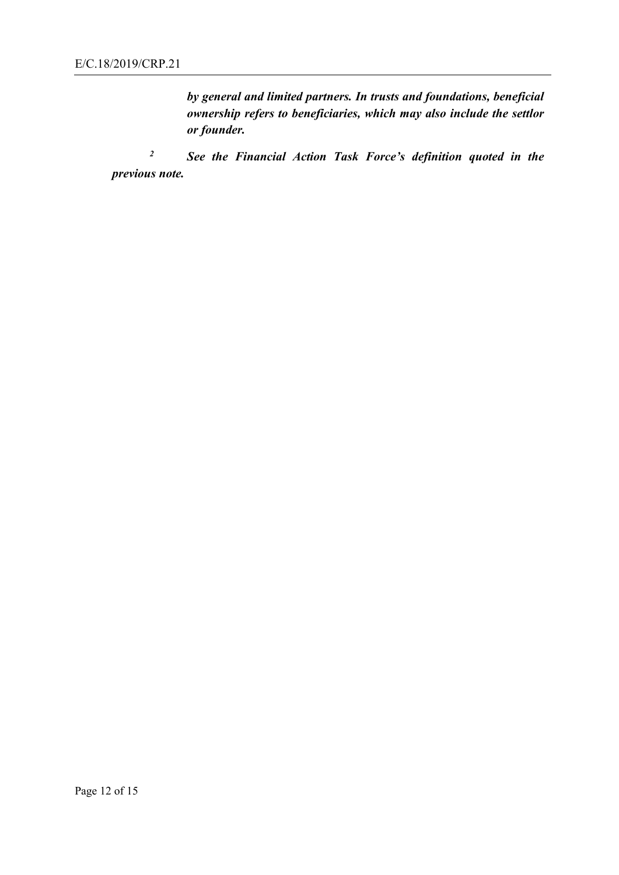*by general and limited partners. In trusts and foundations, beneficial ownership refers to beneficiaries, which may also include the settlor or founder.*

*<sup>2</sup> See the Financial Action Task Force's definition quoted in the previous note.*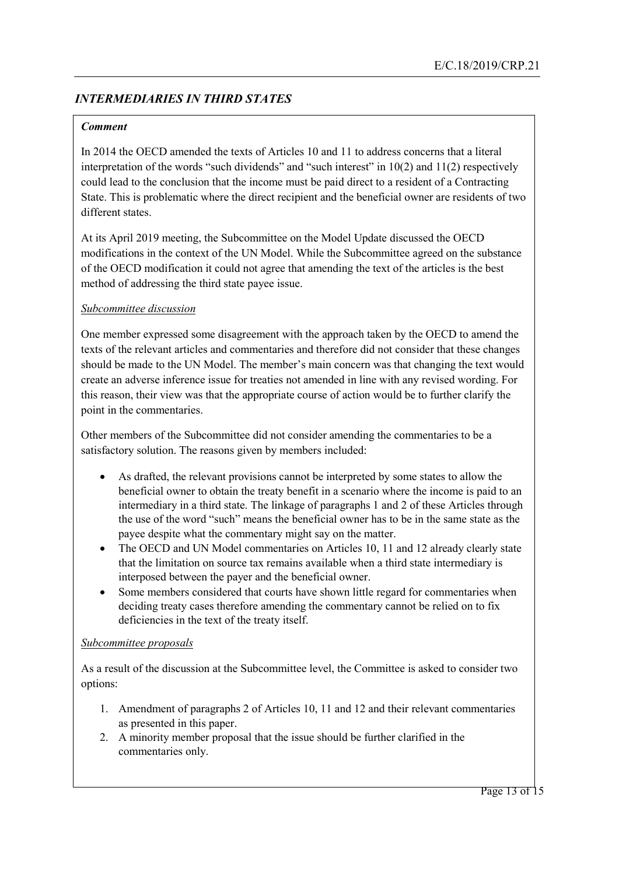# *INTERMEDIARIES IN THIRD STATES*

#### *Comment*

In 2014 the OECD amended the texts of Articles 10 and 11 to address concerns that a literal interpretation of the words "such dividends" and "such interest" in 10(2) and 11(2) respectively could lead to the conclusion that the income must be paid direct to a resident of a Contracting State. This is problematic where the direct recipient and the beneficial owner are residents of two different states.

At its April 2019 meeting, the Subcommittee on the Model Update discussed the OECD modifications in the context of the UN Model. While the Subcommittee agreed on the substance of the OECD modification it could not agree that amending the text of the articles is the best method of addressing the third state payee issue.

#### *Subcommittee discussion*

One member expressed some disagreement with the approach taken by the OECD to amend the texts of the relevant articles and commentaries and therefore did not consider that these changes should be made to the UN Model. The member's main concern was that changing the text would create an adverse inference issue for treaties not amended in line with any revised wording. For this reason, their view was that the appropriate course of action would be to further clarify the point in the commentaries.

Other members of the Subcommittee did not consider amending the commentaries to be a satisfactory solution. The reasons given by members included:

- As drafted, the relevant provisions cannot be interpreted by some states to allow the beneficial owner to obtain the treaty benefit in a scenario where the income is paid to an intermediary in a third state. The linkage of paragraphs 1 and 2 of these Articles through the use of the word "such" means the beneficial owner has to be in the same state as the payee despite what the commentary might say on the matter.
- The OECD and UN Model commentaries on Articles 10, 11 and 12 already clearly state that the limitation on source tax remains available when a third state intermediary is interposed between the payer and the beneficial owner.
- Some members considered that courts have shown little regard for commentaries when deciding treaty cases therefore amending the commentary cannot be relied on to fix deficiencies in the text of the treaty itself.

#### *Subcommittee proposals*

As a result of the discussion at the Subcommittee level, the Committee is asked to consider two options:

- 1. Amendment of paragraphs 2 of Articles 10, 11 and 12 and their relevant commentaries as presented in this paper.
- 2. A minority member proposal that the issue should be further clarified in the commentaries only.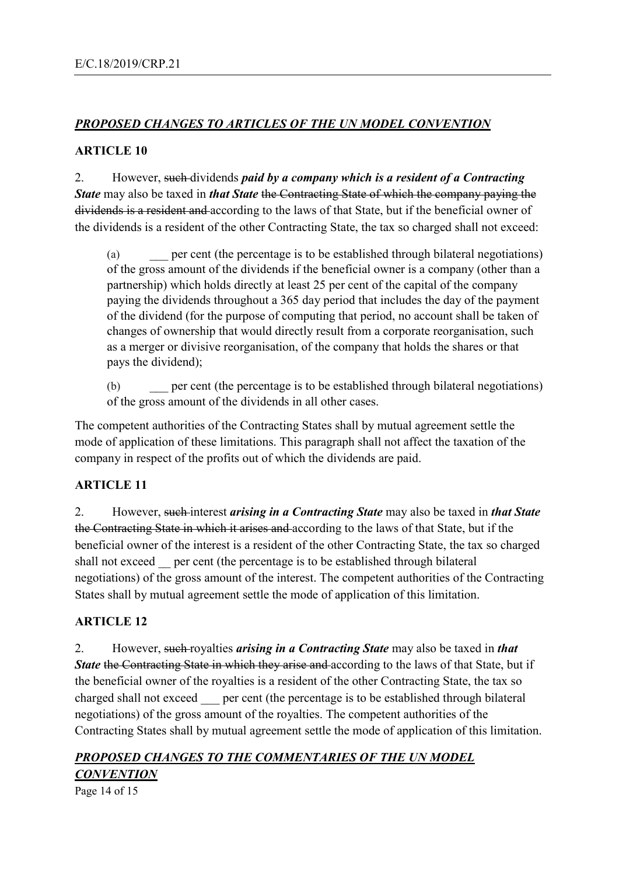### *PROPOSED CHANGES TO ARTICLES OF THE UN MODEL CONVENTION*

### **ARTICLE 10**

2. However, such dividends *paid by a company which is a resident of a Contracting State* may also be taxed in *that State* the Contracting State of which the company paying the dividends is a resident and according to the laws of that State, but if the beneficial owner of the dividends is a resident of the other Contracting State, the tax so charged shall not exceed:

(a) \_\_\_ per cent (the percentage is to be established through bilateral negotiations) of the gross amount of the dividends if the beneficial owner is a company (other than a partnership) which holds directly at least 25 per cent of the capital of the company paying the dividends throughout a 365 day period that includes the day of the payment of the dividend (for the purpose of computing that period, no account shall be taken of changes of ownership that would directly result from a corporate reorganisation, such as a merger or divisive reorganisation, of the company that holds the shares or that pays the dividend);

(b) \_\_\_ per cent (the percentage is to be established through bilateral negotiations) of the gross amount of the dividends in all other cases.

The competent authorities of the Contracting States shall by mutual agreement settle the mode of application of these limitations. This paragraph shall not affect the taxation of the company in respect of the profits out of which the dividends are paid.

## **ARTICLE 11**

2. However, such interest *arising in a Contracting State* may also be taxed in *that State* the Contracting State in which it arises and according to the laws of that State, but if the beneficial owner of the interest is a resident of the other Contracting State, the tax so charged shall not exceed per cent (the percentage is to be established through bilateral negotiations) of the gross amount of the interest. The competent authorities of the Contracting States shall by mutual agreement settle the mode of application of this limitation.

## **ARTICLE 12**

2. However, such royalties *arising in a Contracting State* may also be taxed in *that State* the Contracting State in which they arise and according to the laws of that State, but if the beneficial owner of the royalties is a resident of the other Contracting State, the tax so charged shall not exceed \_\_\_ per cent (the percentage is to be established through bilateral negotiations) of the gross amount of the royalties. The competent authorities of the Contracting States shall by mutual agreement settle the mode of application of this limitation.

# *PROPOSED CHANGES TO THE COMMENTARIES OF THE UN MODEL CONVENTION*

Page 14 of 15